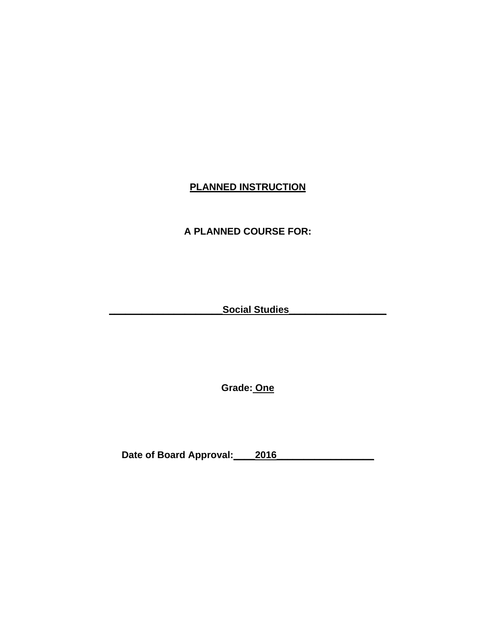# **PLANNED INSTRUCTION**

# **A PLANNED COURSE FOR:**

**\_\_\_\_\_\_\_\_\_\_\_\_\_\_\_\_\_\_\_\_\_Social Studies\_\_\_\_\_\_\_\_\_\_\_\_\_\_\_\_\_\_**

**Grade: One** 

Date of Board Approval: 2016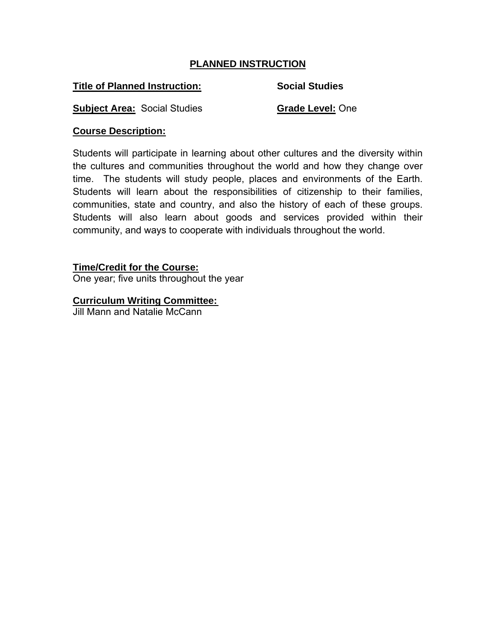# **PLANNED INSTRUCTION**

## **Title of Planned Instruction:** Social Studies

**Subject Area:** Social Studies **Grade Level:** One

# **Course Description:**

Students will participate in learning about other cultures and the diversity within the cultures and communities throughout the world and how they change over time. The students will study people, places and environments of the Earth. Students will learn about the responsibilities of citizenship to their families, communities, state and country, and also the history of each of these groups. Students will also learn about goods and services provided within their community, and ways to cooperate with individuals throughout the world.

# **Time/Credit for the Course:**

One year; five units throughout the year

# **Curriculum Writing Committee:**

Jill Mann and Natalie McCann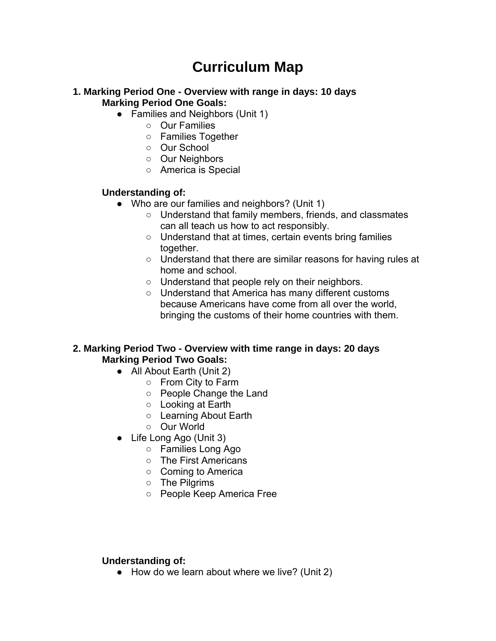# **Curriculum Map**

#### **1. Marking Period One - Overview with range in days: 10 days Marking Period One Goals:**

- Families and Neighbors (Unit 1)
	- Our Families
	- Families Together
	- Our School
	- Our Neighbors
	- America is Special

#### **Understanding of:**

- Who are our families and neighbors? (Unit 1)
	- Understand that family members, friends, and classmates can all teach us how to act responsibly.
	- Understand that at times, certain events bring families together.
	- Understand that there are similar reasons for having rules at home and school.
	- Understand that people rely on their neighbors.
	- Understand that America has many different customs because Americans have come from all over the world, bringing the customs of their home countries with them.

## **2. Marking Period Two - Overview with time range in days: 20 days Marking Period Two Goals:**

- All About Earth (Unit 2)
	- From City to Farm
	- People Change the Land
	- Looking at Earth
	- Learning About Earth
	- Our World
- Life Long Ago (Unit 3)
	- Families Long Ago
	- The First Americans
	- Coming to America
	- The Pilgrims
	- People Keep America Free

#### **Understanding of:**

● How do we learn about where we live? (Unit 2)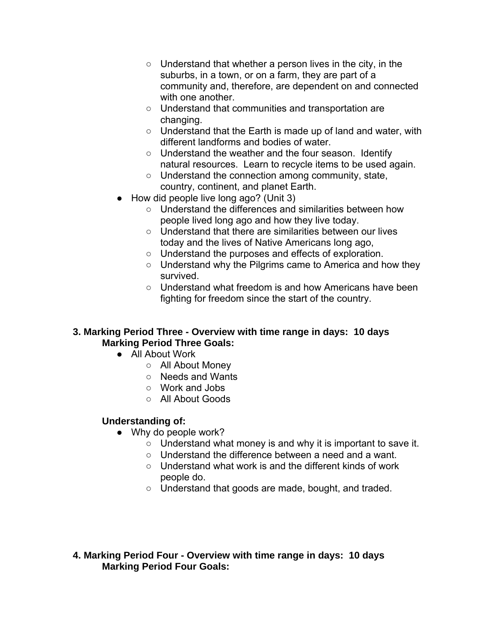- Understand that whether a person lives in the city, in the suburbs, in a town, or on a farm, they are part of a community and, therefore, are dependent on and connected with one another.
- Understand that communities and transportation are changing.
- Understand that the Earth is made up of land and water, with different landforms and bodies of water.
- Understand the weather and the four season. Identify natural resources. Learn to recycle items to be used again.
- Understand the connection among community, state, country, continent, and planet Earth.
- How did people live long ago? (Unit 3)
	- Understand the differences and similarities between how people lived long ago and how they live today.
	- Understand that there are similarities between our lives today and the lives of Native Americans long ago,
	- Understand the purposes and effects of exploration.
	- Understand why the Pilgrims came to America and how they survived.
	- Understand what freedom is and how Americans have been fighting for freedom since the start of the country.

# **3. Marking Period Three - Overview with time range in days: 10 days Marking Period Three Goals:**

- All About Work
	- All About Money
	- Needs and Wants
	- Work and Jobs
	- All About Goods

# **Understanding of:**

- Why do people work?
	- Understand what money is and why it is important to save it.
	- Understand the difference between a need and a want.
	- Understand what work is and the different kinds of work people do.
	- Understand that goods are made, bought, and traded.

# **4. Marking Period Four - Overview with time range in days: 10 days Marking Period Four Goals:**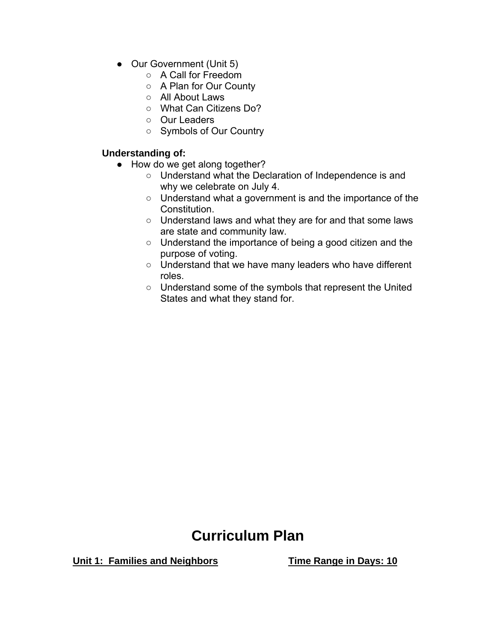- Our Government (Unit 5)
	- A Call for Freedom
	- A Plan for Our County
	- All About Laws
	- o What Can Citizens Do?
	- Our Leaders
	- Symbols of Our Country

## **Understanding of:**

- How do we get along together?
	- Understand what the Declaration of Independence is and why we celebrate on July 4.
	- Understand what a government is and the importance of the Constitution.
	- Understand laws and what they are for and that some laws are state and community law.
	- Understand the importance of being a good citizen and the purpose of voting.
	- Understand that we have many leaders who have different roles.
	- Understand some of the symbols that represent the United States and what they stand for.

# **Curriculum Plan**

**Unit 1: Families and Neighbors Time Range in Days: 10**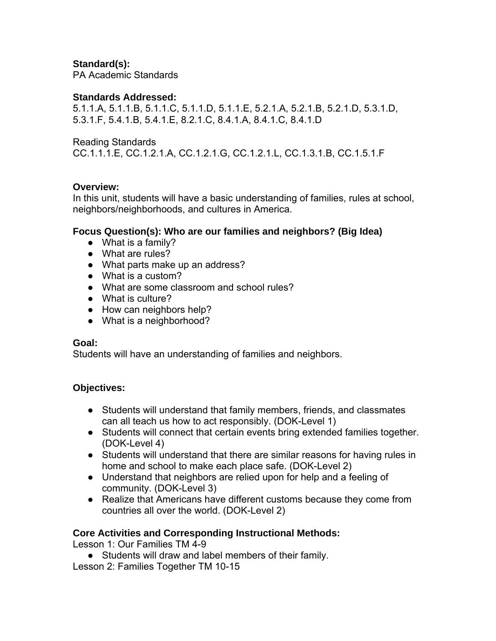# **Standard(s):**

PA Academic Standards

#### **Standards Addressed:**

5.1.1.A, 5.1.1.B, 5.1.1.C, 5.1.1.D, 5.1.1.E, 5.2.1.A, 5.2.1.B, 5.2.1.D, 5.3.1.D, 5.3.1.F, 5.4.1.B, 5.4.1.E, 8.2.1.C, 8.4.1.A, 8.4.1.C, 8.4.1.D

Reading Standards

CC.1.1.1.E, CC.1.2.1.A, CC.1.2.1.G, CC.1.2.1.L, CC.1.3.1.B, CC.1.5.1.F

## **Overview:**

In this unit, students will have a basic understanding of families, rules at school, neighbors/neighborhoods, and cultures in America.

## **Focus Question(s): Who are our families and neighbors? (Big Idea)**

- What is a family?
- What are rules?
- What parts make up an address?
- What is a custom?
- What are some classroom and school rules?
- What is culture?
- How can neighbors help?
- What is a neighborhood?

#### **Goal:**

Students will have an understanding of families and neighbors.

## **Objectives:**

- Students will understand that family members, friends, and classmates can all teach us how to act responsibly. (DOK-Level 1)
- Students will connect that certain events bring extended families together. (DOK-Level 4)
- Students will understand that there are similar reasons for having rules in home and school to make each place safe. (DOK-Level 2)
- Understand that neighbors are relied upon for help and a feeling of community. (DOK-Level 3)
- Realize that Americans have different customs because they come from countries all over the world. (DOK-Level 2)

# **Core Activities and Corresponding Instructional Methods:**

Lesson 1: Our Families TM 4-9

● Students will draw and label members of their family.

Lesson 2: Families Together TM 10-15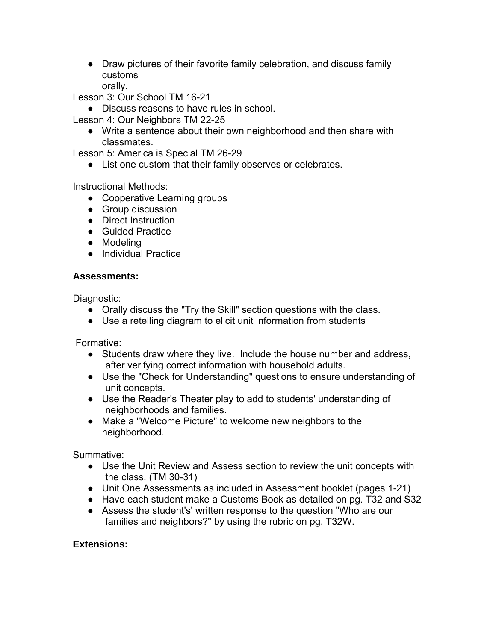• Draw pictures of their favorite family celebration, and discuss family customs

orally.

Lesson 3: Our School TM 16-21

● Discuss reasons to have rules in school.

Lesson 4: Our Neighbors TM 22-25

● Write a sentence about their own neighborhood and then share with classmates.

Lesson 5: America is Special TM 26-29

● List one custom that their family observes or celebrates.

Instructional Methods:

- Cooperative Learning groups
- Group discussion
- Direct Instruction
- Guided Practice
- Modeling
- Individual Practice

## **Assessments:**

Diagnostic:

- Orally discuss the "Try the Skill" section questions with the class.
- Use a retelling diagram to elicit unit information from students

Formative:

- Students draw where they live. Include the house number and address, after verifying correct information with household adults.
- Use the "Check for Understanding" questions to ensure understanding of unit concepts.
- Use the Reader's Theater play to add to students' understanding of neighborhoods and families.
- Make a "Welcome Picture" to welcome new neighbors to the neighborhood.

Summative:

- Use the Unit Review and Assess section to review the unit concepts with the class. (TM 30-31)
- Unit One Assessments as included in Assessment booklet (pages 1-21)
- Have each student make a Customs Book as detailed on pg. T32 and S32
- Assess the student's' written response to the question "Who are our families and neighbors?" by using the rubric on pg. T32W.

# **Extensions:**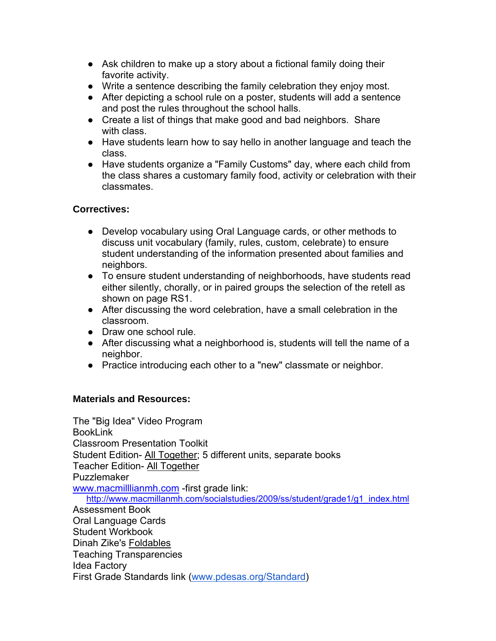- Ask children to make up a story about a fictional family doing their favorite activity.
- Write a sentence describing the family celebration they enjoy most.
- After depicting a school rule on a poster, students will add a sentence and post the rules throughout the school halls.
- Create a list of things that make good and bad neighbors. Share with class.
- Have students learn how to say hello in another language and teach the class.
- Have students organize a "Family Customs" day, where each child from the class shares a customary family food, activity or celebration with their classmates.

# **Correctives:**

- Develop vocabulary using Oral Language cards, or other methods to discuss unit vocabulary (family, rules, custom, celebrate) to ensure student understanding of the information presented about families and neighbors.
- To ensure student understanding of neighborhoods, have students read either silently, chorally, or in paired groups the selection of the retell as shown on page RS1.
- After discussing the word celebration, have a small celebration in the classroom.
- Draw one school rule.
- After discussing what a neighborhood is, students will tell the name of a neighbor.
- Practice introducing each other to a "new" classmate or neighbor.

# **Materials and Resources:**

The "Big Idea" Video Program BookLink Classroom Presentation Toolkit Student Edition- All Together; 5 different units, separate books Teacher Edition- All Together Puzzlemaker www.macmilllianmh.com -first grade link: http://www.macmillanmh.com/socialstudies/2009/ss/student/grade1/g1\_index.html Assessment Book Oral Language Cards Student Workbook Dinah Zike's Foldables Teaching Transparencies Idea Factory First Grade Standards link (www.pdesas.org/Standard)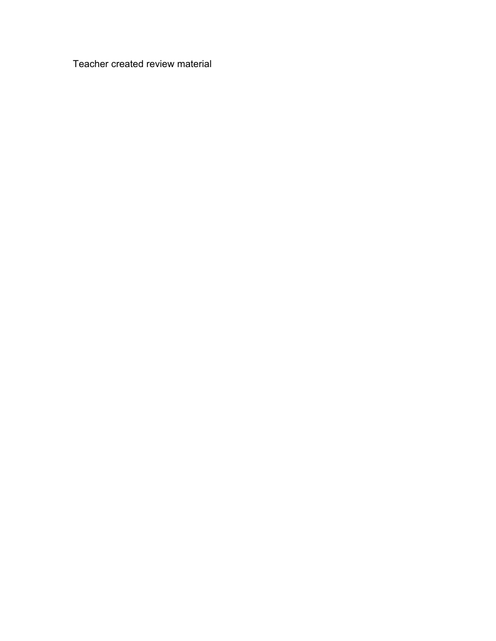Teacher created review material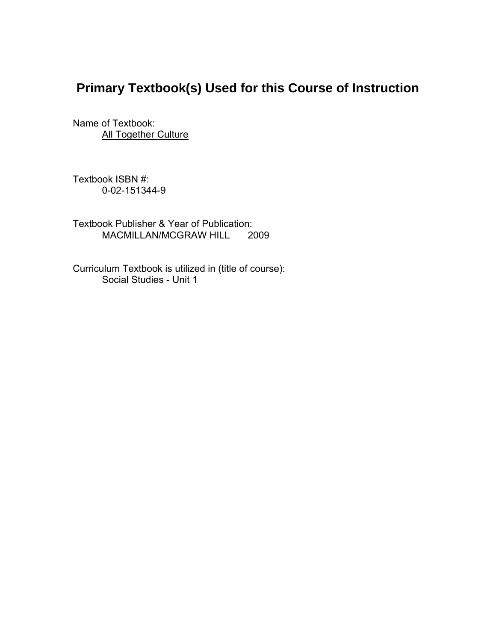# **Primary Textbook(s) Used for this Course of Instruction**

Name of Textbook: **All Together Culture** 

Textbook ISBN #: 0-02-151344-9

Textbook Publisher & Year of Publication: MACMILLAN/MCGRAW HILL 2009

Curriculum Textbook is utilized in (title of course): Social Studies - Unit 1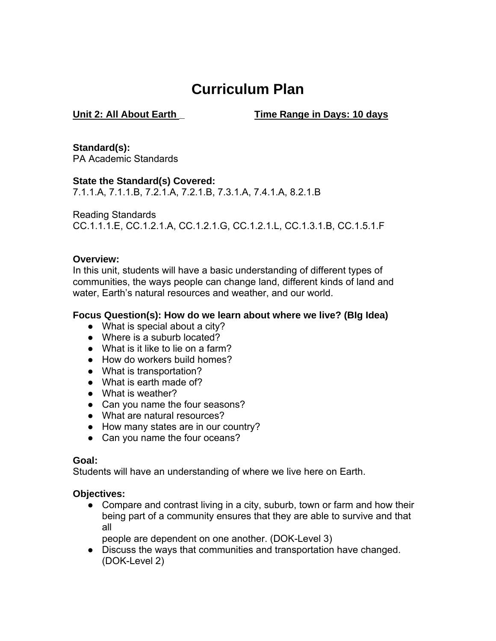# **Curriculum Plan**

**Unit 2: All About Earth \_ Time Range in Days: 10 days** 

**Standard(s):** PA Academic Standards

**State the Standard(s) Covered:** 

7.1.1.A, 7.1.1.B, 7.2.1.A, 7.2.1.B, 7.3.1.A, 7.4.1.A, 8.2.1.B

Reading Standards CC.1.1.1.E, CC.1.2.1.A, CC.1.2.1.G, CC.1.2.1.L, CC.1.3.1.B, CC.1.5.1.F

## **Overview:**

In this unit, students will have a basic understanding of different types of communities, the ways people can change land, different kinds of land and water, Earth's natural resources and weather, and our world.

#### **Focus Question(s): How do we learn about where we live? (BIg Idea)**

- What is special about a city?
- Where is a suburb located?
- What is it like to lie on a farm?
- How do workers build homes?
- What is transportation?
- What is earth made of?
- What is weather?
- Can you name the four seasons?
- What are natural resources?
- How many states are in our country?
- Can you name the four oceans?

## **Goal:**

Students will have an understanding of where we live here on Earth.

## **Objectives:**

• Compare and contrast living in a city, suburb, town or farm and how their being part of a community ensures that they are able to survive and that all

people are dependent on one another. (DOK-Level 3)

● Discuss the ways that communities and transportation have changed. (DOK-Level 2)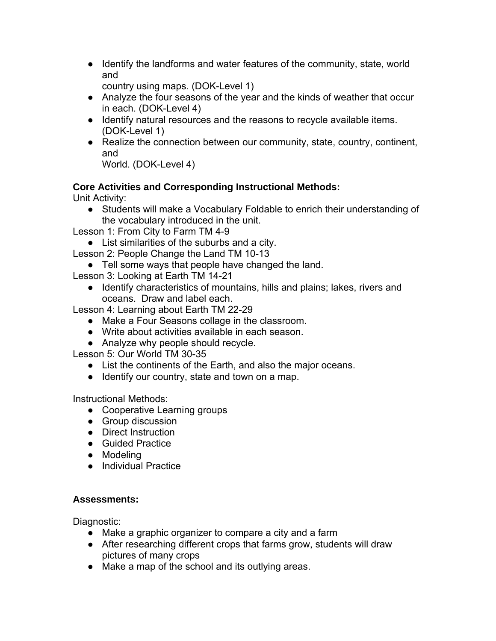- Identify the landforms and water features of the community, state, world and
	- country using maps. (DOK-Level 1)
- Analyze the four seasons of the year and the kinds of weather that occur in each. (DOK-Level 4)
- Identify natural resources and the reasons to recycle available items. (DOK-Level 1)
- Realize the connection between our community, state, country, continent, and

```
World. (DOK-Level 4)
```
# **Core Activities and Corresponding Instructional Methods:**

Unit Activity:

● Students will make a Vocabulary Foldable to enrich their understanding of the vocabulary introduced in the unit.

Lesson 1: From City to Farm TM 4-9

- List similarities of the suburbs and a city.
- Lesson 2: People Change the Land TM 10-13
	- Tell some ways that people have changed the land.
- Lesson 3: Looking at Earth TM 14-21
	- Identify characteristics of mountains, hills and plains; lakes, rivers and oceans. Draw and label each.

Lesson 4: Learning about Earth TM 22-29

- Make a Four Seasons collage in the classroom.
- Write about activities available in each season.
- Analyze why people should recycle.

Lesson 5: Our World TM 30-35

- List the continents of the Earth, and also the major oceans.
- Identify our country, state and town on a map.

Instructional Methods:

- Cooperative Learning groups
- Group discussion
- Direct Instruction
- Guided Practice
- Modeling
- Individual Practice

# **Assessments:**

Diagnostic:

- Make a graphic organizer to compare a city and a farm
- After researching different crops that farms grow, students will draw pictures of many crops
- Make a map of the school and its outlying areas.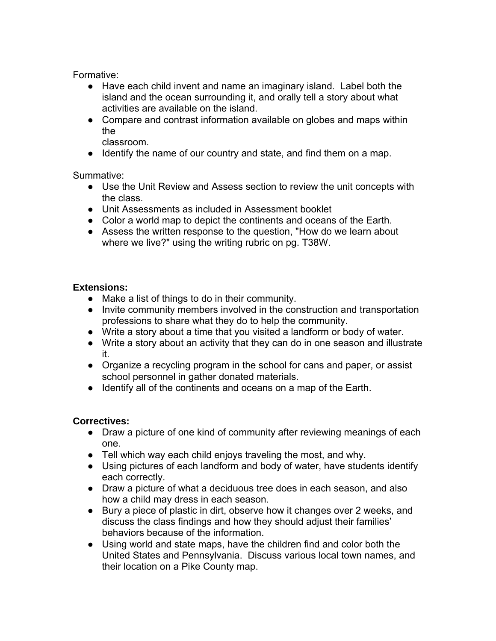Formative:

- Have each child invent and name an imaginary island. Label both the island and the ocean surrounding it, and orally tell a story about what activities are available on the island.
- Compare and contrast information available on globes and maps within the

classroom.

● Identify the name of our country and state, and find them on a map.

Summative:

- Use the Unit Review and Assess section to review the unit concepts with the class.
- Unit Assessments as included in Assessment booklet
- Color a world map to depict the continents and oceans of the Earth.
- Assess the written response to the question, "How do we learn about where we live?" using the writing rubric on pg. T38W.

# **Extensions:**

- Make a list of things to do in their community.
- Invite community members involved in the construction and transportation professions to share what they do to help the community.
- Write a story about a time that you visited a landform or body of water.
- Write a story about an activity that they can do in one season and illustrate it.
- Organize a recycling program in the school for cans and paper, or assist school personnel in gather donated materials.
- Identify all of the continents and oceans on a map of the Earth.

# **Correctives:**

- Draw a picture of one kind of community after reviewing meanings of each one.
- Tell which way each child enjoys traveling the most, and why.
- Using pictures of each landform and body of water, have students identify each correctly.
- Draw a picture of what a deciduous tree does in each season, and also how a child may dress in each season.
- Bury a piece of plastic in dirt, observe how it changes over 2 weeks, and discuss the class findings and how they should adjust their families' behaviors because of the information.
- Using world and state maps, have the children find and color both the United States and Pennsylvania. Discuss various local town names, and their location on a Pike County map.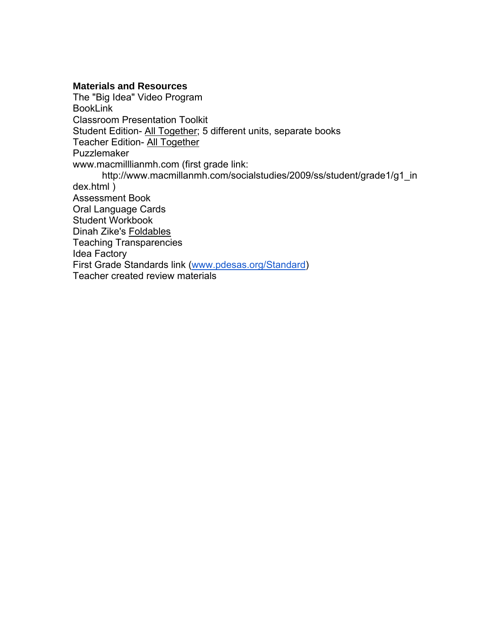#### **Materials and Resources**

The "Big Idea" Video Program BookLink Classroom Presentation Toolkit Student Edition- All Together; 5 different units, separate books Teacher Edition- All Together Puzzlemaker www.macmilllianmh.com (first grade link: http://www.macmillanmh.com/socialstudies/2009/ss/student/grade1/g1\_in dex.html ) Assessment Book Oral Language Cards Student Workbook Dinah Zike's Foldables Teaching Transparencies Idea Factory First Grade Standards link (www.pdesas.org/Standard) Teacher created review materials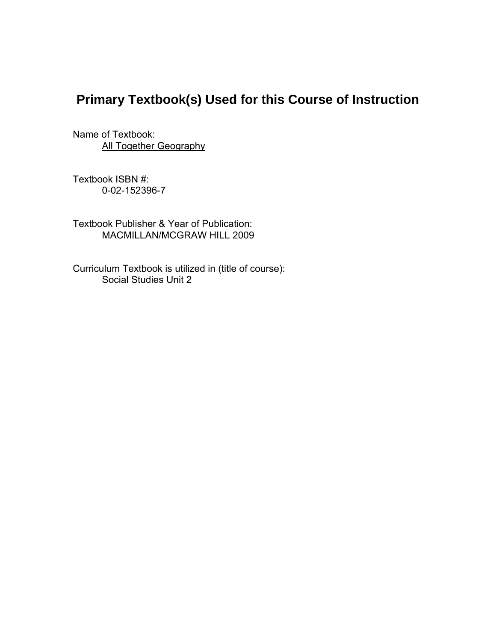# **Primary Textbook(s) Used for this Course of Instruction**

Name of Textbook: **All Together Geography** 

Textbook ISBN #: 0-02-152396-7

Textbook Publisher & Year of Publication: MACMILLAN/MCGRAW HILL 2009

Curriculum Textbook is utilized in (title of course): Social Studies Unit 2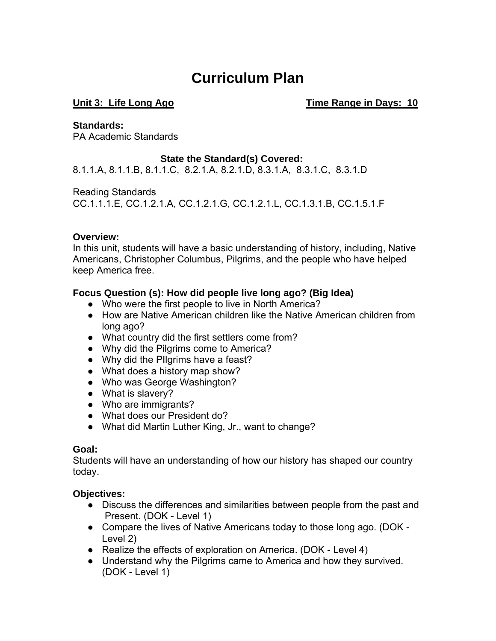# **Curriculum Plan**

Unit 3: Life Long Ago **Time Range in Days: 10** 

#### **Standards:**

PA Academic Standards

# **State the Standard(s) Covered:**

8.1.1.A, 8.1.1.B, 8.1.1.C, 8.2.1.A, 8.2.1.D, 8.3.1.A, 8.3.1.C, 8.3.1.D

Reading Standards

CC.1.1.1.E, CC.1.2.1.A, CC.1.2.1.G, CC.1.2.1.L, CC.1.3.1.B, CC.1.5.1.F

# **Overview:**

In this unit, students will have a basic understanding of history, including, Native Americans, Christopher Columbus, Pilgrims, and the people who have helped keep America free.

# **Focus Question (s): How did people live long ago? (Big Idea)**

- Who were the first people to live in North America?
- How are Native American children like the Native American children from long ago?
- What country did the first settlers come from?
- Why did the Pilgrims come to America?
- Why did the PIlgrims have a feast?
- What does a history map show?
- Who was George Washington?
- What is slavery?
- Who are immigrants?
- What does our President do?
- What did Martin Luther King, Jr., want to change?

## **Goal:**

Students will have an understanding of how our history has shaped our country today.

# **Objectives:**

- Discuss the differences and similarities between people from the past and Present. (DOK - Level 1)
- Compare the lives of Native Americans today to those long ago. (DOK Level 2)
- Realize the effects of exploration on America. (DOK Level 4)
- Understand why the Pilgrims came to America and how they survived. (DOK - Level 1)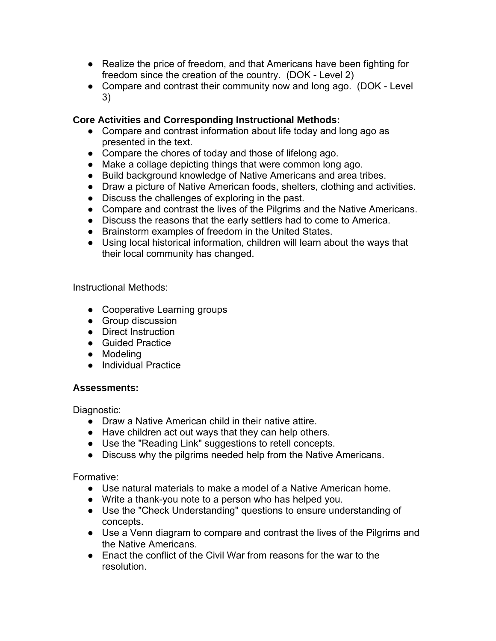- Realize the price of freedom, and that Americans have been fighting for freedom since the creation of the country. (DOK - Level 2)
- Compare and contrast their community now and long ago. (DOK Level 3)

# **Core Activities and Corresponding Instructional Methods:**

- Compare and contrast information about life today and long ago as presented in the text.
- Compare the chores of today and those of lifelong ago.
- Make a collage depicting things that were common long ago.
- Build background knowledge of Native Americans and area tribes.
- Draw a picture of Native American foods, shelters, clothing and activities.
- Discuss the challenges of exploring in the past.
- Compare and contrast the lives of the Pilgrims and the Native Americans.
- Discuss the reasons that the early settlers had to come to America.
- Brainstorm examples of freedom in the United States.
- Using local historical information, children will learn about the ways that their local community has changed.

Instructional Methods:

- Cooperative Learning groups
- Group discussion
- Direct Instruction
- Guided Practice
- Modeling
- Individual Practice

## **Assessments:**

Diagnostic:

- Draw a Native American child in their native attire.
- Have children act out ways that they can help others.
- Use the "Reading Link" suggestions to retell concepts.
- Discuss why the pilgrims needed help from the Native Americans.

Formative:

- Use natural materials to make a model of a Native American home.
- Write a thank-you note to a person who has helped you.
- Use the "Check Understanding" questions to ensure understanding of concepts.
- Use a Venn diagram to compare and contrast the lives of the Pilgrims and the Native Americans.
- Enact the conflict of the Civil War from reasons for the war to the resolution.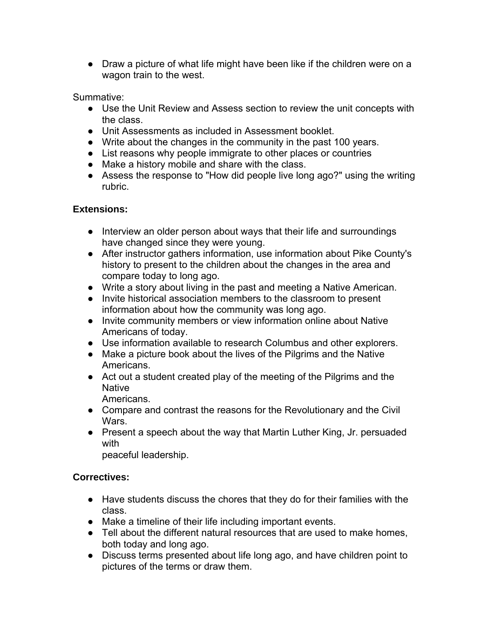• Draw a picture of what life might have been like if the children were on a wagon train to the west.

Summative:

- Use the Unit Review and Assess section to review the unit concepts with the class.
- Unit Assessments as included in Assessment booklet.
- Write about the changes in the community in the past 100 years.
- List reasons why people immigrate to other places or countries
- Make a history mobile and share with the class.
- Assess the response to "How did people live long ago?" using the writing rubric.

# **Extensions:**

- Interview an older person about ways that their life and surroundings have changed since they were young.
- After instructor gathers information, use information about Pike County's history to present to the children about the changes in the area and compare today to long ago.
- Write a story about living in the past and meeting a Native American.
- Invite historical association members to the classroom to present information about how the community was long ago.
- Invite community members or view information online about Native Americans of today.
- Use information available to research Columbus and other explorers.
- Make a picture book about the lives of the Pilgrims and the Native Americans.
- Act out a student created play of the meeting of the Pilgrims and the **Native**

Americans.

- Compare and contrast the reasons for the Revolutionary and the Civil Wars.
- Present a speech about the way that Martin Luther King, Jr. persuaded with

peaceful leadership.

# **Correctives:**

- Have students discuss the chores that they do for their families with the class.
- Make a timeline of their life including important events.
- Tell about the different natural resources that are used to make homes, both today and long ago.
- Discuss terms presented about life long ago, and have children point to pictures of the terms or draw them.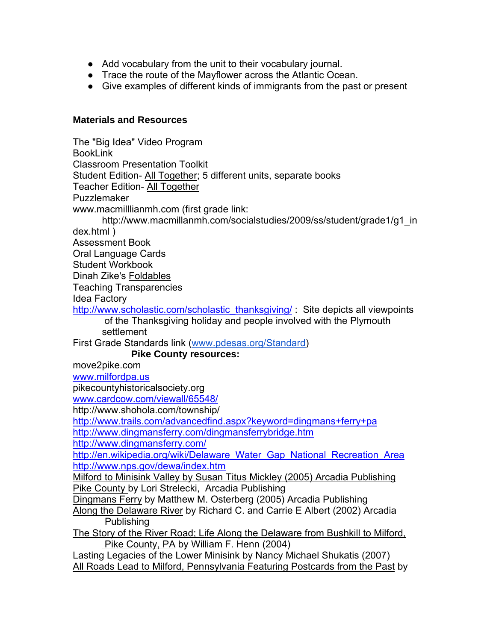- Add vocabulary from the unit to their vocabulary journal.
- Trace the route of the Mayflower across the Atlantic Ocean.
- Give examples of different kinds of immigrants from the past or present

#### **Materials and Resources**

The "Big Idea" Video Program BookLink Classroom Presentation Toolkit Student Edition- All Together; 5 different units, separate books Teacher Edition- All Together Puzzlemaker www.macmilllianmh.com (first grade link: http://www.macmillanmh.com/socialstudies/2009/ss/student/grade1/g1\_in dex.html ) Assessment Book Oral Language Cards Student Workbook Dinah Zike's Foldables Teaching Transparencies Idea Factory http://www.scholastic.com/scholastic\_thanksgiving/ : Site depicts all viewpoints of the Thanksgiving holiday and people involved with the Plymouth settlement First Grade Standards link (www.pdesas.org/Standard) **Pike County resources:** move2pike.com www.milfordpa.us pikecountyhistoricalsociety.org www.cardcow.com/viewall/65548/ http://www.shohola.com/township/ http://www.trails.com/advancedfind.aspx?keyword=dingmans+ferry+pa http://www.dingmansferry.com/dingmansferrybridge.htm http://www.dingmansferry.com/ http://en.wikipedia.org/wiki/Delaware\_Water\_Gap\_National\_Recreation\_Area http://www.nps.gov/dewa/index.htm Milford to Minisink Valley by Susan Titus Mickley (2005) Arcadia Publishing Pike County by Lori Strelecki, Arcadia Publishing Dingmans Ferry by Matthew M. Osterberg (2005) Arcadia Publishing Along the Delaware River by Richard C. and Carrie E Albert (2002) Arcadia Publishing The Story of the River Road; Life Along the Delaware from Bushkill to Milford, Pike County, PA by William F. Henn (2004) Lasting Legacies of the Lower Minisink by Nancy Michael Shukatis (2007) All Roads Lead to Milford, Pennsylvania Featuring Postcards from the Past by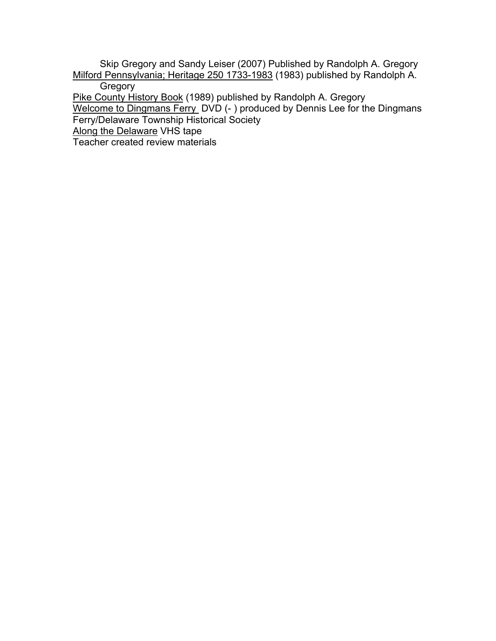Skip Gregory and Sandy Leiser (2007) Published by Randolph A. Gregory Milford Pennsylvania; Heritage 250 1733-1983 (1983) published by Randolph A. **Gregory** 

Pike County History Book (1989) published by Randolph A. Gregory

Welcome to Dingmans Ferry DVD (- ) produced by Dennis Lee for the Dingmans

Ferry/Delaware Township Historical Society

Along the Delaware VHS tape

Teacher created review materials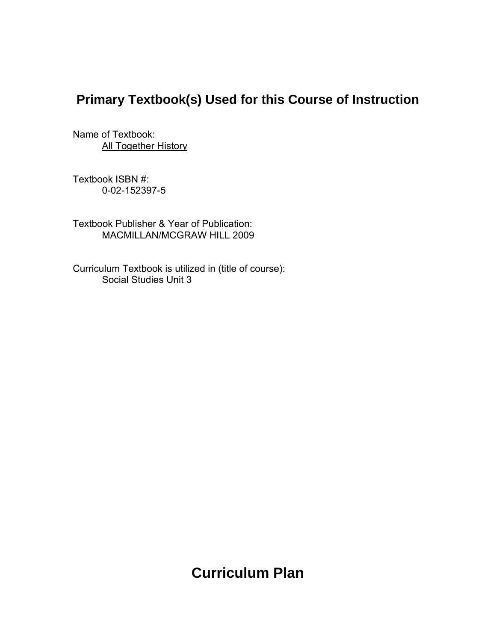# **Primary Textbook(s) Used for this Course of Instruction**

Name of Textbook: **All Together History** 

Textbook ISBN #: 0-02-152397-5

Textbook Publisher & Year of Publication: MACMILLAN/MCGRAW HILL 2009

Curriculum Textbook is utilized in (title of course): Social Studies Unit 3

# **Curriculum Plan**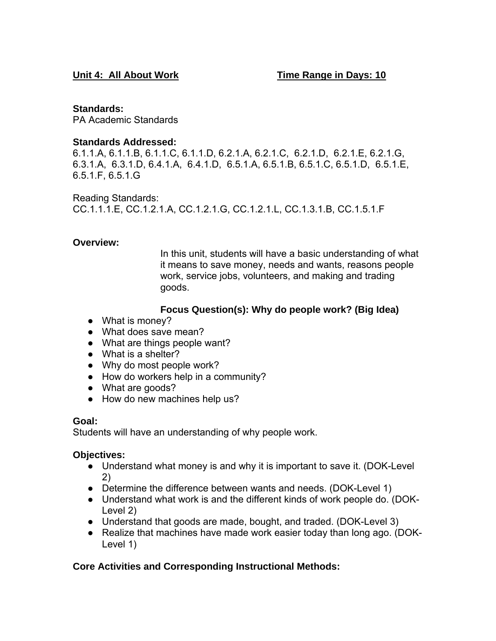## **Standards:**

PA Academic Standards

# **Standards Addressed:**

6.1.1.A, 6.1.1.B, 6.1.1.C, 6.1.1.D, 6.2.1.A, 6.2.1.C, 6.2.1.D, 6.2.1.E, 6.2.1.G, 6.3.1.A, 6.3.1.D, 6.4.1.A, 6.4.1.D, 6.5.1.A, 6.5.1.B, 6.5.1.C, 6.5.1.D, 6.5.1.E, 6.5.1.F, 6.5.1.G

Reading Standards: CC.1.1.1.E, CC.1.2.1.A, CC.1.2.1.G, CC.1.2.1.L, CC.1.3.1.B, CC.1.5.1.F

# **Overview:**

In this unit, students will have a basic understanding of what it means to save money, needs and wants, reasons people work, service jobs, volunteers, and making and trading goods.

# **Focus Question(s): Why do people work? (Big Idea)**

- What is money?
- What does save mean?
- What are things people want?
- What is a shelter?
- Why do most people work?
- How do workers help in a community?
- What are goods?
- How do new machines help us?

## **Goal:**

Students will have an understanding of why people work.

## **Objectives:**

- Understand what money is and why it is important to save it. (DOK-Level 2)
- Determine the difference between wants and needs. (DOK-Level 1)
- Understand what work is and the different kinds of work people do. (DOK-Level 2)
- Understand that goods are made, bought, and traded. (DOK-Level 3)
- Realize that machines have made work easier today than long ago. (DOK-Level 1)

# **Core Activities and Corresponding Instructional Methods:**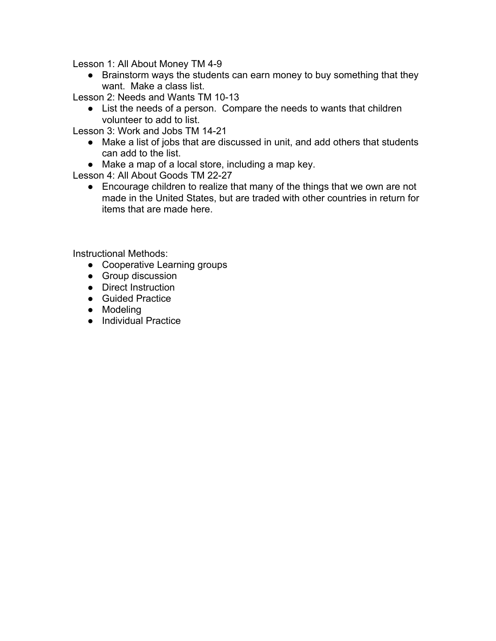Lesson 1: All About Money TM 4-9

• Brainstorm ways the students can earn money to buy something that they want. Make a class list.

Lesson 2: Needs and Wants TM 10-13

● List the needs of a person. Compare the needs to wants that children volunteer to add to list.

Lesson 3: Work and Jobs TM 14-21

- Make a list of jobs that are discussed in unit, and add others that students can add to the list.
- Make a map of a local store, including a map key.

Lesson 4: All About Goods TM 22-27

• Encourage children to realize that many of the things that we own are not made in the United States, but are traded with other countries in return for items that are made here.

Instructional Methods:

- Cooperative Learning groups
- Group discussion
- Direct Instruction
- Guided Practice
- Modeling
- Individual Practice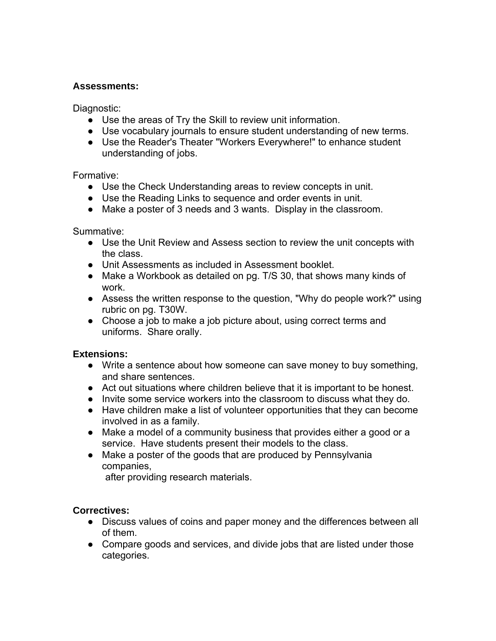## **Assessments:**

Diagnostic:

- Use the areas of Try the Skill to review unit information.
- Use vocabulary journals to ensure student understanding of new terms.
- Use the Reader's Theater "Workers Everywhere!" to enhance student understanding of jobs.

## Formative:

- Use the Check Understanding areas to review concepts in unit.
- Use the Reading Links to sequence and order events in unit.
- Make a poster of 3 needs and 3 wants. Display in the classroom.

Summative:

- Use the Unit Review and Assess section to review the unit concepts with the class.
- Unit Assessments as included in Assessment booklet.
- Make a Workbook as detailed on pg. T/S 30, that shows many kinds of work.
- Assess the written response to the question, "Why do people work?" using rubric on pg. T30W.
- Choose a job to make a job picture about, using correct terms and uniforms. Share orally.

# **Extensions:**

- Write a sentence about how someone can save money to buy something, and share sentences.
- Act out situations where children believe that it is important to be honest.
- Invite some service workers into the classroom to discuss what they do.
- Have children make a list of volunteer opportunities that they can become involved in as a family.
- Make a model of a community business that provides either a good or a service. Have students present their models to the class.
- Make a poster of the goods that are produced by Pennsylvania companies,

after providing research materials.

## **Correctives:**

- Discuss values of coins and paper money and the differences between all of them.
- Compare goods and services, and divide jobs that are listed under those categories.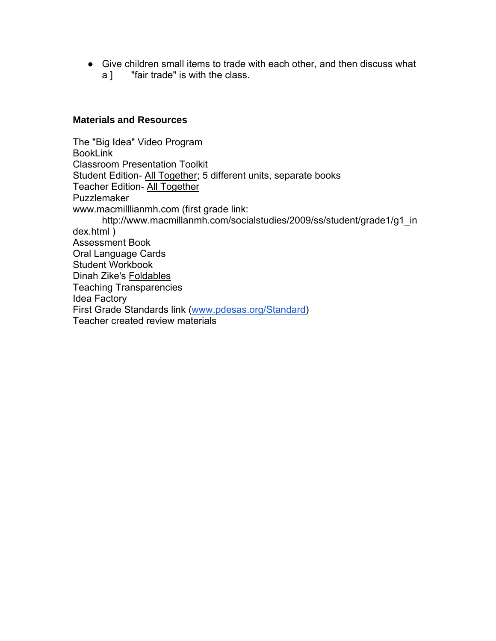● Give children small items to trade with each other, and then discuss what a ] "fair trade" is with the class.

#### **Materials and Resources**

The "Big Idea" Video Program BookLink Classroom Presentation Toolkit Student Edition- All Together; 5 different units, separate books Teacher Edition- All Together Puzzlemaker www.macmilllianmh.com (first grade link: http://www.macmillanmh.com/socialstudies/2009/ss/student/grade1/g1\_in dex.html ) Assessment Book Oral Language Cards Student Workbook Dinah Zike's Foldables Teaching Transparencies Idea Factory First Grade Standards link (www.pdesas.org/Standard) Teacher created review materials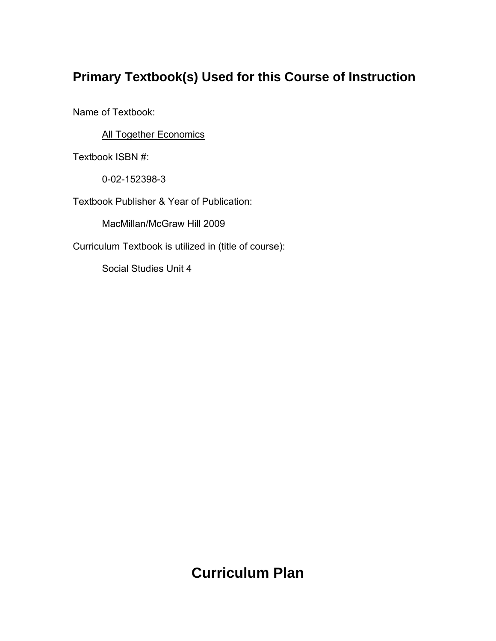# **Primary Textbook(s) Used for this Course of Instruction**

Name of Textbook:

**All Together Economics** 

Textbook ISBN #:

0-02-152398-3

Textbook Publisher & Year of Publication:

MacMillan/McGraw Hill 2009

Curriculum Textbook is utilized in (title of course):

Social Studies Unit 4

# **Curriculum Plan**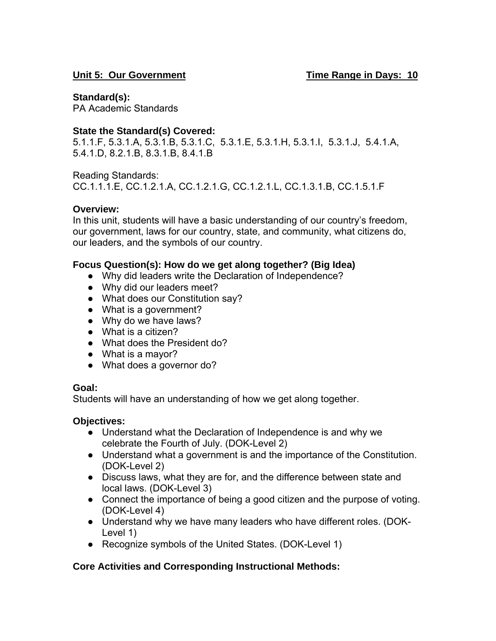## Unit 5: Our Government **Time Range in Days: 10**

## **Standard(s):**

PA Academic Standards

# **State the Standard(s) Covered:**

5.1.1.F, 5.3.1.A, 5.3.1.B, 5.3.1.C, 5.3.1.E, 5.3.1.H, 5.3.1.I, 5.3.1.J, 5.4.1.A, 5.4.1.D, 8.2.1.B, 8.3.1.B, 8.4.1.B

Reading Standards:

CC.1.1.1.E, CC.1.2.1.A, CC.1.2.1.G, CC.1.2.1.L, CC.1.3.1.B, CC.1.5.1.F

# **Overview:**

In this unit, students will have a basic understanding of our country's freedom, our government, laws for our country, state, and community, what citizens do, our leaders, and the symbols of our country.

## **Focus Question(s): How do we get along together? (Big Idea)**

- Why did leaders write the Declaration of Independence?
- Why did our leaders meet?
- What does our Constitution say?
- What is a government?
- Why do we have laws?
- What is a citizen?
- What does the President do?
- What is a mayor?
- What does a governor do?

## **Goal:**

Students will have an understanding of how we get along together.

## **Objectives:**

- Understand what the Declaration of Independence is and why we celebrate the Fourth of July. (DOK-Level 2)
- Understand what a government is and the importance of the Constitution. (DOK-Level 2)
- Discuss laws, what they are for, and the difference between state and local laws. (DOK-Level 3)
- Connect the importance of being a good citizen and the purpose of voting. (DOK-Level 4)
- Understand why we have many leaders who have different roles. (DOK-Level 1)
- Recognize symbols of the United States. (DOK-Level 1)

# **Core Activities and Corresponding Instructional Methods:**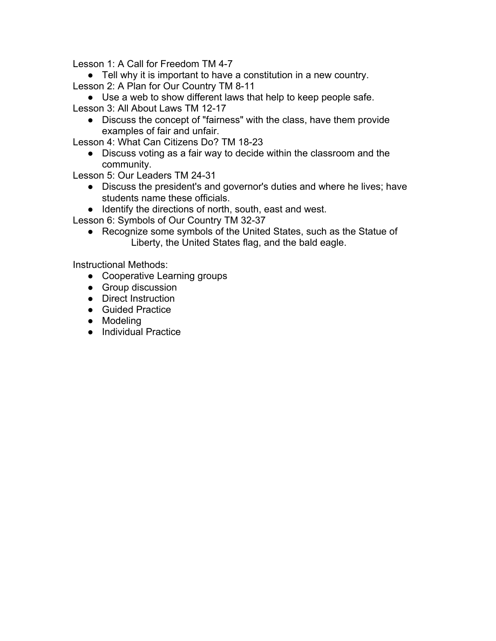Lesson 1: A Call for Freedom TM 4-7

● Tell why it is important to have a constitution in a new country. Lesson 2: A Plan for Our Country TM 8-11

● Use a web to show different laws that help to keep people safe. Lesson 3: All About Laws TM 12-17

● Discuss the concept of "fairness" with the class, have them provide examples of fair and unfair.

Lesson 4: What Can Citizens Do? TM 18-23

• Discuss voting as a fair way to decide within the classroom and the community.

Lesson 5: Our Leaders TM 24-31

- Discuss the president's and governor's duties and where he lives; have students name these officials.
- Identify the directions of north, south, east and west.

Lesson 6: Symbols of Our Country TM 32-37

• Recognize some symbols of the United States, such as the Statue of Liberty, the United States flag, and the bald eagle.

Instructional Methods:

- Cooperative Learning groups
- Group discussion
- Direct Instruction
- Guided Practice
- Modeling
- Individual Practice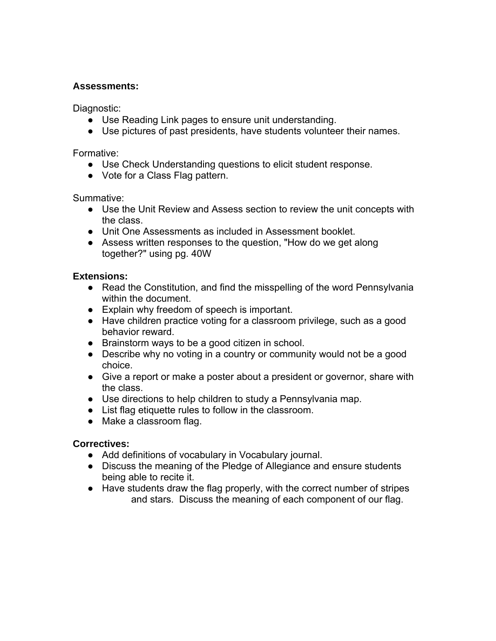## **Assessments:**

Diagnostic:

- Use Reading Link pages to ensure unit understanding.
- Use pictures of past presidents, have students volunteer their names.

#### Formative:

- Use Check Understanding questions to elicit student response.
- Vote for a Class Flag pattern.

Summative:

- Use the Unit Review and Assess section to review the unit concepts with the class.
- Unit One Assessments as included in Assessment booklet.
- Assess written responses to the question, "How do we get along together?" using pg. 40W

## **Extensions:**

- Read the Constitution, and find the misspelling of the word Pennsylvania within the document.
- Explain why freedom of speech is important.
- Have children practice voting for a classroom privilege, such as a good behavior reward.
- Brainstorm ways to be a good citizen in school.
- Describe why no voting in a country or community would not be a good choice.
- Give a report or make a poster about a president or governor, share with the class.
- Use directions to help children to study a Pennsylvania map.
- List flag etiquette rules to follow in the classroom.
- Make a classroom flag.

## **Correctives:**

- Add definitions of vocabulary in Vocabulary journal.
- Discuss the meaning of the Pledge of Allegiance and ensure students being able to recite it.
- Have students draw the flag properly, with the correct number of stripes and stars. Discuss the meaning of each component of our flag.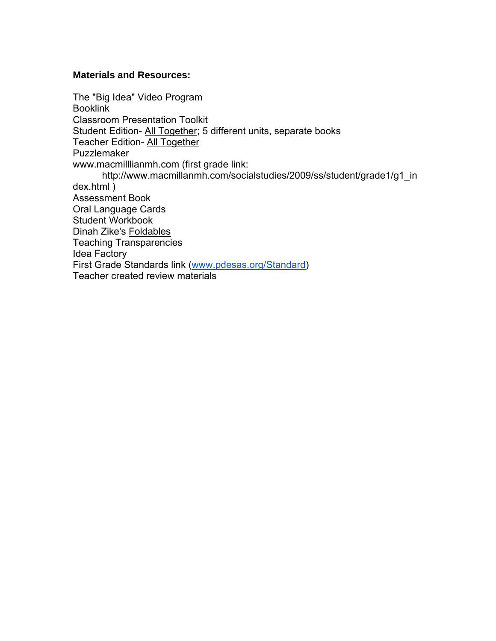#### **Materials and Resources:**

The "Big Idea" Video Program **Booklink** Classroom Presentation Toolkit Student Edition- All Together; 5 different units, separate books Teacher Edition- All Together Puzzlemaker www.macmilllianmh.com (first grade link: http://www.macmillanmh.com/socialstudies/2009/ss/student/grade1/g1\_in dex.html ) Assessment Book Oral Language Cards Student Workbook Dinah Zike's Foldables Teaching Transparencies Idea Factory First Grade Standards link (www.pdesas.org/Standard) Teacher created review materials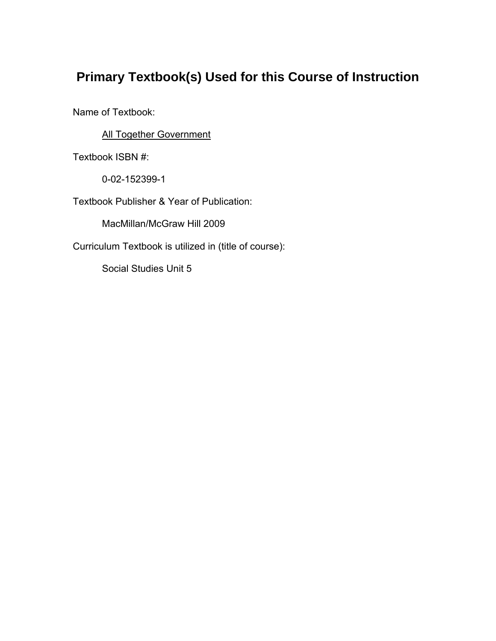# **Primary Textbook(s) Used for this Course of Instruction**

Name of Textbook:

**All Together Government** 

Textbook ISBN #:

0-02-152399-1

Textbook Publisher & Year of Publication:

MacMillan/McGraw Hill 2009

Curriculum Textbook is utilized in (title of course):

Social Studies Unit 5